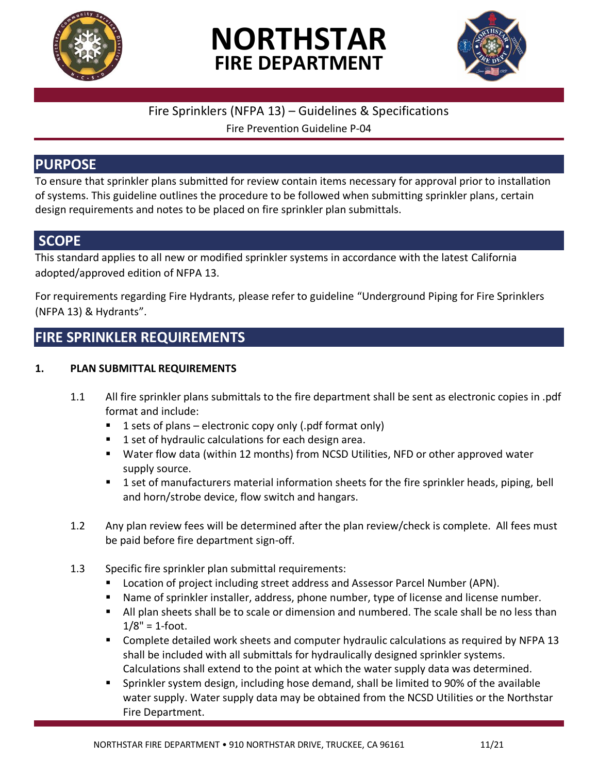





## Fire Sprinklers (NFPA 13) – Guidelines & Specifications

Fire Prevention Guideline P-04

## **PURPOSE**

To ensure that sprinkler plans submitted for review contain items necessary for approval prior to installation of systems. This guideline outlines the procedure to be followed when submitting sprinkler plans, certain design requirements and notes to be placed on fire sprinkler plan submittals.

## **SCOPE**

This standard applies to all new or modified sprinkler systems in accordance with the latest California adopted/approved edition of NFPA 13.

For requirements regarding Fire Hydrants, please refer to guideline "Underground Piping for Fire Sprinklers (NFPA 13) & Hydrants".

# **FIRE SPRINKLER REQUIREMENTS**

## **1. PLAN SUBMITTAL REQUIREMENTS**

- 1.1 All fire sprinkler plans submittals to the fire department shall be sent as electronic copies in .pdf format and include:
	- $\blacksquare$  1 sets of plans electronic copy only (.pdf format only)
	- 1 set of hydraulic calculations for each design area.
	- Water flow data (within 12 months) from NCSD Utilities, NFD or other approved water supply source.
	- 1 set of manufacturers material information sheets for the fire sprinkler heads, piping, bell and horn/strobe device, flow switch and hangars.
- 1.2 Any plan review fees will be determined after the plan review/check is complete. All fees must be paid before fire department sign-off.
- 1.3 Specific fire sprinkler plan submittal requirements:
	- Location of project including street address and Assessor Parcel Number (APN).
	- Name of sprinkler installer, address, phone number, type of license and license number.
	- **E** All plan sheets shall be to scale or dimension and numbered. The scale shall be no less than  $1/8" = 1$ -foot.
	- Complete detailed work sheets and computer hydraulic calculations as required by NFPA 13 shall be included with all submittals for hydraulically designed sprinkler systems. Calculations shall extend to the point at which the water supply data was determined.
	- Sprinkler system design, including hose demand, shall be limited to 90% of the available water supply. Water supply data may be obtained from the NCSD Utilities or the Northstar Fire Department.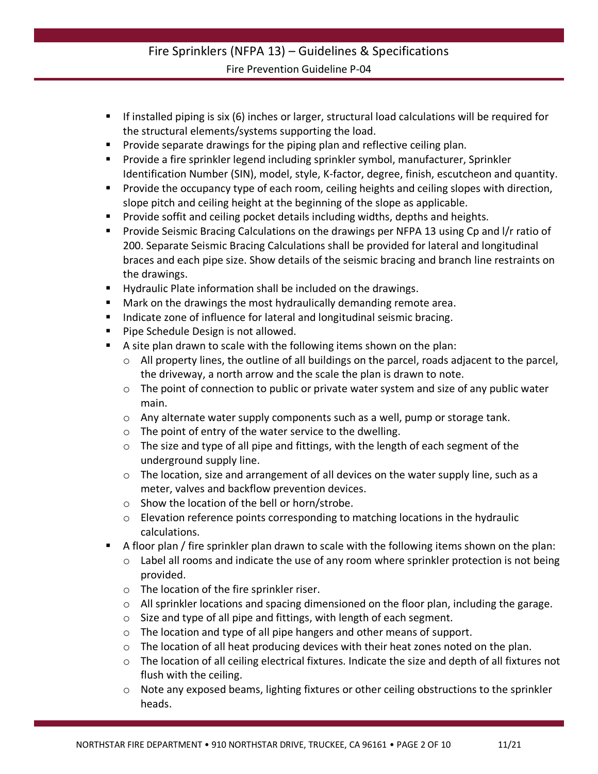- If installed piping is six (6) inches or larger, structural load calculations will be required for the structural elements/systems supporting the load.
- **•** Provide separate drawings for the piping plan and reflective ceiling plan.
- Provide a fire sprinkler legend including sprinkler symbol, manufacturer, Sprinkler Identification Number (SIN), model, style, K-factor, degree, finish, escutcheon and quantity.
- **Provide the occupancy type of each room, ceiling heights and ceiling slopes with direction,** slope pitch and ceiling height at the beginning of the slope as applicable.
- Provide soffit and ceiling pocket details including widths, depths and heights.
- Provide Seismic Bracing Calculations on the drawings per NFPA 13 using Cp and I/r ratio of 200. Separate Seismic Bracing Calculations shall be provided for lateral and longitudinal braces and each pipe size. Show details of the seismic bracing and branch line restraints on the drawings.
- Hydraulic Plate information shall be included on the drawings.
- Mark on the drawings the most hydraulically demanding remote area.
- Indicate zone of influence for lateral and longitudinal seismic bracing.
- Pipe Schedule Design is not allowed.
- A site plan drawn to scale with the following items shown on the plan:
	- o All property lines, the outline of all buildings on the parcel, roads adjacent to the parcel, the driveway, a north arrow and the scale the plan is drawn to note.
	- $\circ$  The point of connection to public or private water system and size of any public water main.
	- $\circ$  Any alternate water supply components such as a well, pump or storage tank.
	- o The point of entry of the water service to the dwelling.
	- o The size and type of all pipe and fittings, with the length of each segment of the underground supply line.
	- $\circ$  The location, size and arrangement of all devices on the water supply line, such as a meter, valves and backflow prevention devices.
	- o Show the location of the bell or horn/strobe.
	- $\circ$  Elevation reference points corresponding to matching locations in the hydraulic calculations.
- A floor plan / fire sprinkler plan drawn to scale with the following items shown on the plan:
	- o Label all rooms and indicate the use of any room where sprinkler protection is not being provided.
	- o The location of the fire sprinkler riser.
	- $\circ$  All sprinkler locations and spacing dimensioned on the floor plan, including the garage.
	- o Size and type of all pipe and fittings, with length of each segment.
	- $\circ$  The location and type of all pipe hangers and other means of support.
	- $\circ$  The location of all heat producing devices with their heat zones noted on the plan.
	- o The location of all ceiling electrical fixtures. Indicate the size and depth of all fixtures not flush with the ceiling.
	- o Note any exposed beams, lighting fixtures or other ceiling obstructions to the sprinkler heads.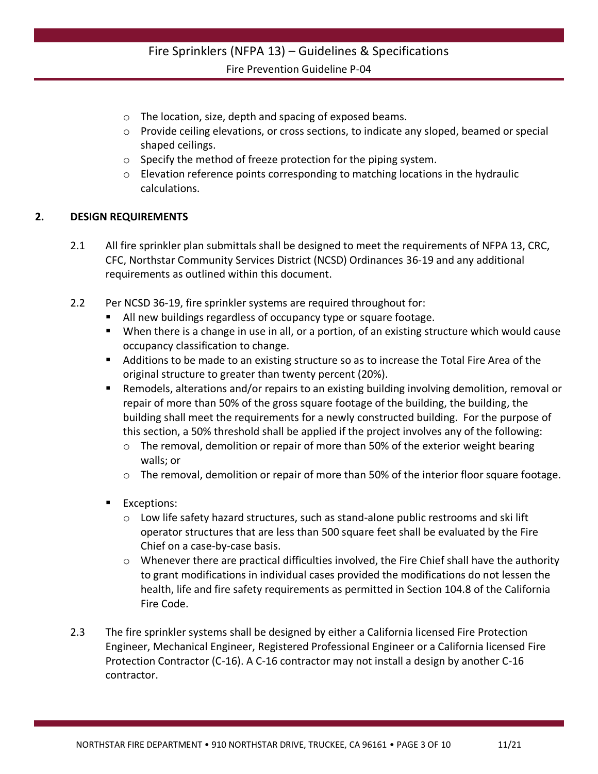- o The location, size, depth and spacing of exposed beams.
- $\circ$  Provide ceiling elevations, or cross sections, to indicate any sloped, beamed or special shaped ceilings.
- o Specify the method of freeze protection for the piping system.
- o Elevation reference points corresponding to matching locations in the hydraulic calculations.

#### **2. DESIGN REQUIREMENTS**

- 2.1 All fire sprinkler plan submittals shall be designed to meet the requirements of NFPA 13, CRC, CFC, Northstar Community Services District (NCSD) Ordinances 36-19 and any additional requirements as outlined within this document.
- 2.2 Per NCSD 36-19, fire sprinkler systems are required throughout for:
	- All new buildings regardless of occupancy type or square footage.
	- When there is a change in use in all, or a portion, of an existing structure which would cause occupancy classification to change.
	- Additions to be made to an existing structure so as to increase the Total Fire Area of the original structure to greater than twenty percent (20%).
	- Remodels, alterations and/or repairs to an existing building involving demolition, removal or repair of more than 50% of the gross square footage of the building, the building, the building shall meet the requirements for a newly constructed building. For the purpose of this section, a 50% threshold shall be applied if the project involves any of the following:
		- o The removal, demolition or repair of more than 50% of the exterior weight bearing walls; or
		- $\circ$  The removal, demolition or repair of more than 50% of the interior floor square footage.
	- Exceptions:
		- $\circ$  Low life safety hazard structures, such as stand-alone public restrooms and ski lift operator structures that are less than 500 square feet shall be evaluated by the Fire Chief on a case-by-case basis.
		- $\circ$  Whenever there are practical difficulties involved, the Fire Chief shall have the authority to grant modifications in individual cases provided the modifications do not lessen the health, life and fire safety requirements as permitted in Section 104.8 of the California Fire Code.
- 2.3 The fire sprinkler systems shall be designed by either a California licensed Fire Protection Engineer, Mechanical Engineer, Registered Professional Engineer or a California licensed Fire Protection Contractor (C-16). A C-16 contractor may not install a design by another C-16 contractor.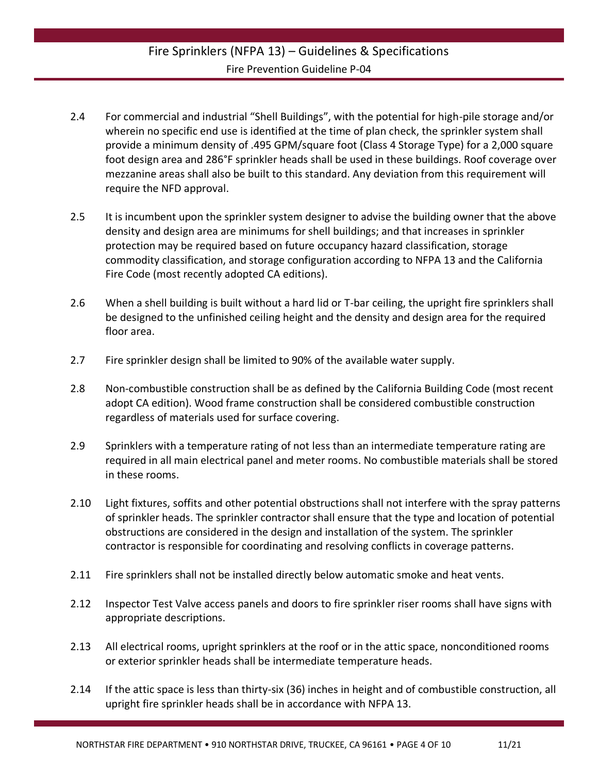- 2.4 For commercial and industrial "Shell Buildings", with the potential for high-pile storage and/or wherein no specific end use is identified at the time of plan check, the sprinkler system shall provide a minimum density of .495 GPM/square foot (Class 4 Storage Type) for a 2,000 square foot design area and 286°F sprinkler heads shall be used in these buildings. Roof coverage over mezzanine areas shall also be built to this standard. Any deviation from this requirement will require the NFD approval.
- 2.5 It is incumbent upon the sprinkler system designer to advise the building owner that the above density and design area are minimums for shell buildings; and that increases in sprinkler protection may be required based on future occupancy hazard classification, storage commodity classification, and storage configuration according to NFPA 13 and the California Fire Code (most recently adopted CA editions).
- 2.6 When a shell building is built without a hard lid or T-bar ceiling, the upright fire sprinklers shall be designed to the unfinished ceiling height and the density and design area for the required floor area.
- 2.7 Fire sprinkler design shall be limited to 90% of the available water supply.
- 2.8 Non-combustible construction shall be as defined by the California Building Code (most recent adopt CA edition). Wood frame construction shall be considered combustible construction regardless of materials used for surface covering.
- 2.9 Sprinklers with a temperature rating of not less than an intermediate temperature rating are required in all main electrical panel and meter rooms. No combustible materials shall be stored in these rooms.
- 2.10 Light fixtures, soffits and other potential obstructions shall not interfere with the spray patterns of sprinkler heads. The sprinkler contractor shall ensure that the type and location of potential obstructions are considered in the design and installation of the system. The sprinkler contractor is responsible for coordinating and resolving conflicts in coverage patterns.
- 2.11 Fire sprinklers shall not be installed directly below automatic smoke and heat vents.
- 2.12 Inspector Test Valve access panels and doors to fire sprinkler riser rooms shall have signs with appropriate descriptions.
- 2.13 All electrical rooms, upright sprinklers at the roof or in the attic space, nonconditioned rooms or exterior sprinkler heads shall be intermediate temperature heads.
- 2.14 If the attic space is less than thirty-six (36) inches in height and of combustible construction, all upright fire sprinkler heads shall be in accordance with NFPA 13.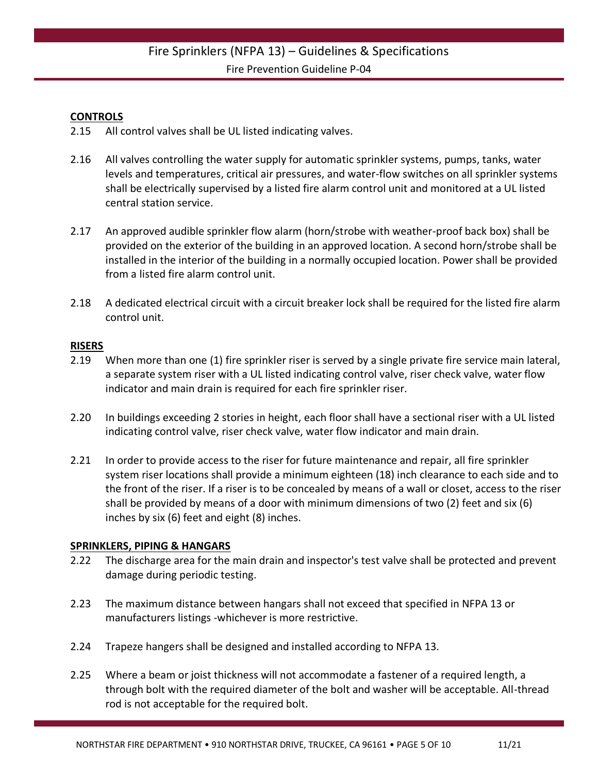#### **CONTROLS**

- 2.15 All control valves shall be UL listed indicating valves.
- 2.16 All valves controlling the water supply for automatic sprinkler systems, pumps, tanks, water levels and temperatures, critical air pressures, and water-flow switches on all sprinkler systems shall be electrically supervised by a listed fire alarm control unit and monitored at a UL listed central station service.
- 2.17 An approved audible sprinkler flow alarm (horn/strobe with weather-proof back box) shall be provided on the exterior of the building in an approved location. A second horn/strobe shall be installed in the interior of the building in a normally occupied location. Power shall be provided from a listed fire alarm control unit.
- 2.18 A dedicated electrical circuit with a circuit breaker lock shall be required for the listed fire alarm control unit.

#### **RISERS**

- 2.19 When more than one (1) fire sprinkler riser is served by a single private fire service main lateral, a separate system riser with a UL listed indicating control valve, riser check valve, water flow indicator and main drain is required for each fire sprinkler riser.
- 2.20 In buildings exceeding 2 stories in height, each floor shall have a sectional riser with a UL listed indicating control valve, riser check valve, water flow indicator and main drain.
- 2.21 In order to provide access to the riser for future maintenance and repair, all fire sprinkler system riser locations shall provide a minimum eighteen (18) inch clearance to each side and to the front of the riser. If a riser is to be concealed by means of a wall or closet, access to the riser shall be provided by means of a door with minimum dimensions of two (2) feet and six (6) inches by six (6) feet and eight (8) inches.

#### **SPRINKLERS, PIPING & HANGARS**

- 2.22 The discharge area for the main drain and inspector's test valve shall be protected and prevent damage during periodic testing.
- 2.23 The maximum distance between hangars shall not exceed that specified in NFPA 13 or manufacturers listings -whichever is more restrictive.
- 2.24 Trapeze hangers shall be designed and installed according to NFPA 13.
- 2.25 Where a beam or joist thickness will not accommodate a fastener of a required length, a through bolt with the required diameter of the bolt and washer will be acceptable. All-thread rod is not acceptable for the required bolt.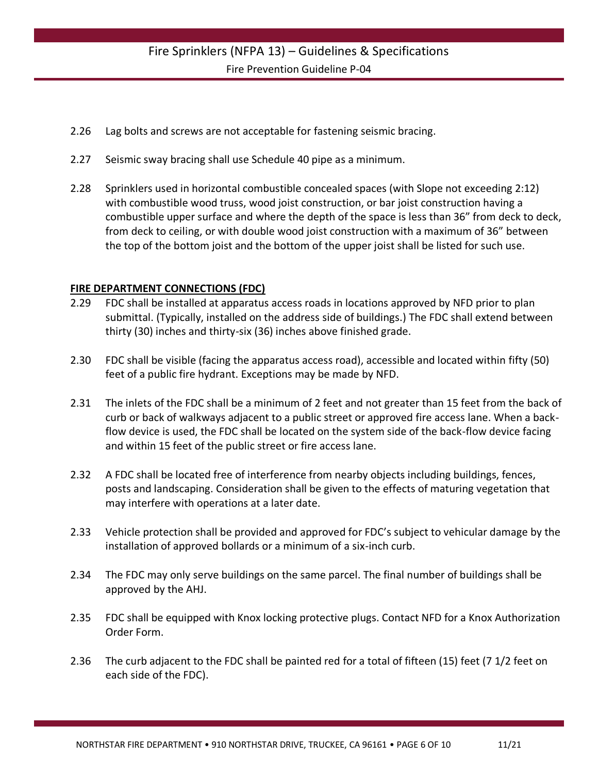- 2.26 Lag bolts and screws are not acceptable for fastening seismic bracing.
- 2.27 Seismic sway bracing shall use Schedule 40 pipe as a minimum.
- 2.28 Sprinklers used in horizontal combustible concealed spaces (with Slope not exceeding 2:12) with combustible wood truss, wood joist construction, or bar joist construction having a combustible upper surface and where the depth of the space is less than 36" from deck to deck, from deck to ceiling, or with double wood joist construction with a maximum of 36" between the top of the bottom joist and the bottom of the upper joist shall be listed for such use.

#### **FIRE DEPARTMENT CONNECTIONS (FDC)**

- 2.29 FDC shall be installed at apparatus access roads in locations approved by NFD prior to plan submittal. (Typically, installed on the address side of buildings.) The FDC shall extend between thirty (30) inches and thirty-six (36) inches above finished grade.
- 2.30 FDC shall be visible (facing the apparatus access road), accessible and located within fifty (50) feet of a public fire hydrant. Exceptions may be made by NFD.
- 2.31 The inlets of the FDC shall be a minimum of 2 feet and not greater than 15 feet from the back of curb or back of walkways adjacent to a public street or approved fire access lane. When a backflow device is used, the FDC shall be located on the system side of the back-flow device facing and within 15 feet of the public street or fire access lane.
- 2.32 A FDC shall be located free of interference from nearby objects including buildings, fences, posts and landscaping. Consideration shall be given to the effects of maturing vegetation that may interfere with operations at a later date.
- 2.33 Vehicle protection shall be provided and approved for FDC's subject to vehicular damage by the installation of approved bollards or a minimum of a six-inch curb.
- 2.34 The FDC may only serve buildings on the same parcel. The final number of buildings shall be approved by the AHJ.
- 2.35 FDC shall be equipped with Knox locking protective plugs. Contact NFD for a Knox Authorization Order Form.
- 2.36 The curb adjacent to the FDC shall be painted red for a total of fifteen (15) feet (7 1/2 feet on each side of the FDC).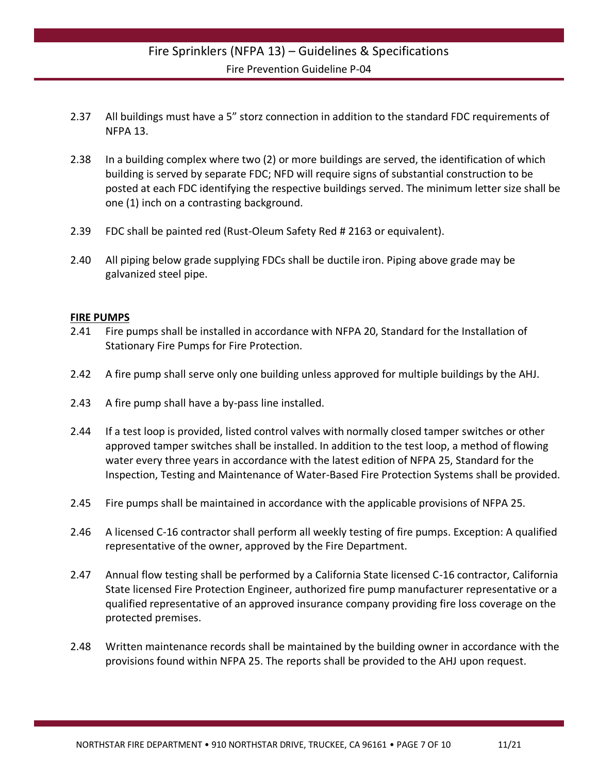- 2.37 All buildings must have a 5" storz connection in addition to the standard FDC requirements of NFPA 13.
- 2.38 In a building complex where two (2) or more buildings are served, the identification of which building is served by separate FDC; NFD will require signs of substantial construction to be posted at each FDC identifying the respective buildings served. The minimum letter size shall be one (1) inch on a contrasting background.
- 2.39 FDC shall be painted red (Rust-Oleum Safety Red # 2163 or equivalent).
- 2.40 All piping below grade supplying FDCs shall be ductile iron. Piping above grade may be galvanized steel pipe.

#### **FIRE PUMPS**

- 2.41 Fire pumps shall be installed in accordance with NFPA 20, Standard for the Installation of Stationary Fire Pumps for Fire Protection.
- 2.42 A fire pump shall serve only one building unless approved for multiple buildings by the AHJ.
- 2.43 A fire pump shall have a by-pass line installed.
- 2.44 If a test loop is provided, listed control valves with normally closed tamper switches or other approved tamper switches shall be installed. In addition to the test loop, a method of flowing water every three years in accordance with the latest edition of NFPA 25, Standard for the Inspection, Testing and Maintenance of Water-Based Fire Protection Systems shall be provided.
- 2.45 Fire pumps shall be maintained in accordance with the applicable provisions of NFPA 25.
- 2.46 A licensed C-16 contractor shall perform all weekly testing of fire pumps. Exception: A qualified representative of the owner, approved by the Fire Department.
- 2.47 Annual flow testing shall be performed by a California State licensed C-16 contractor, California State licensed Fire Protection Engineer, authorized fire pump manufacturer representative or a qualified representative of an approved insurance company providing fire loss coverage on the protected premises.
- 2.48 Written maintenance records shall be maintained by the building owner in accordance with the provisions found within NFPA 25. The reports shall be provided to the AHJ upon request.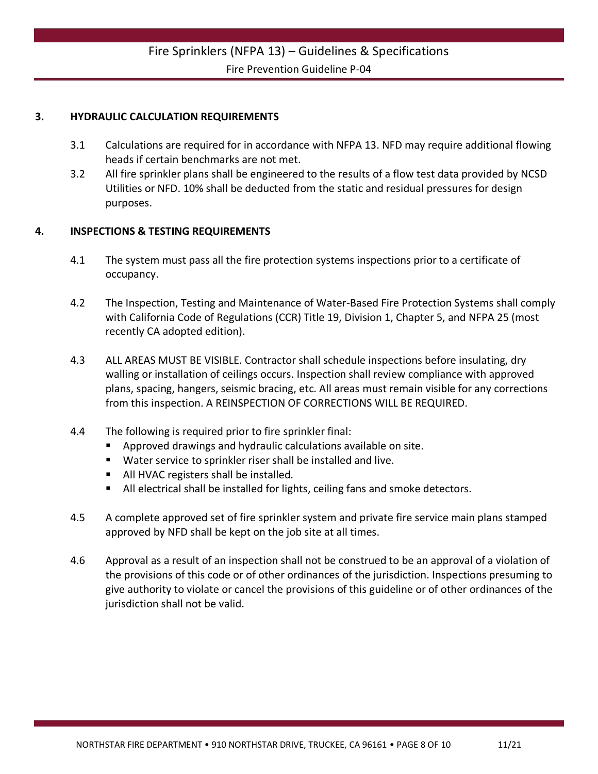#### **3. HYDRAULIC CALCULATION REQUIREMENTS**

- 3.1 Calculations are required for in accordance with NFPA 13. NFD may require additional flowing heads if certain benchmarks are not met.
- 3.2 All fire sprinkler plans shall be engineered to the results of a flow test data provided by NCSD Utilities or NFD. 10% shall be deducted from the static and residual pressures for design purposes.

#### **4. INSPECTIONS & TESTING REQUIREMENTS**

- 4.1 The system must pass all the fire protection systems inspections prior to a certificate of occupancy.
- 4.2 The Inspection, Testing and Maintenance of Water-Based Fire Protection Systems shall comply with California Code of Regulations (CCR) Title 19, Division 1, Chapter 5, and NFPA 25 (most recently CA adopted edition).
- 4.3 ALL AREAS MUST BE VISIBLE. Contractor shall schedule inspections before insulating, dry walling or installation of ceilings occurs. Inspection shall review compliance with approved plans, spacing, hangers, seismic bracing, etc. All areas must remain visible for any corrections from this inspection. A REINSPECTION OF CORRECTIONS WILL BE REQUIRED.
- 4.4 The following is required prior to fire sprinkler final:
	- Approved drawings and hydraulic calculations available on site.
	- Water service to sprinkler riser shall be installed and live.
	- All HVAC registers shall be installed.
	- All electrical shall be installed for lights, ceiling fans and smoke detectors.
- 4.5 A complete approved set of fire sprinkler system and private fire service main plans stamped approved by NFD shall be kept on the job site at all times.
- 4.6 Approval as a result of an inspection shall not be construed to be an approval of a violation of the provisions of this code or of other ordinances of the jurisdiction. Inspections presuming to give authority to violate or cancel the provisions of this guideline or of other ordinances of the jurisdiction shall not be valid.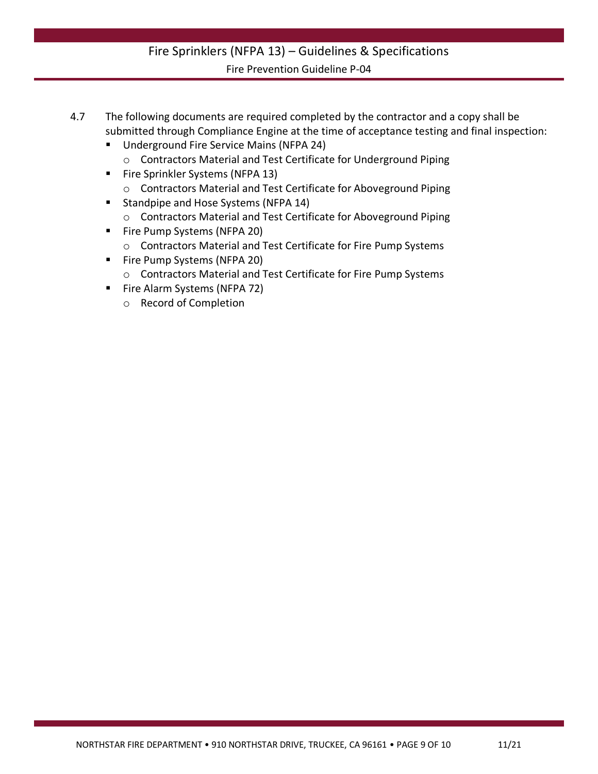- 4.7 The following documents are required completed by the contractor and a copy shall be submitted through Compliance Engine at the time of acceptance testing and final inspection:
	- Underground Fire Service Mains (NFPA 24) o Contractors Material and Test Certificate for Underground Piping
	- Fire Sprinkler Systems (NFPA 13)
		- o Contractors Material and Test Certificate for Aboveground Piping
	- Standpipe and Hose Systems (NFPA 14)
		- o Contractors Material and Test Certificate for Aboveground Piping
	- Fire Pump Systems (NFPA 20)
		- o Contractors Material and Test Certificate for Fire Pump Systems
	- Fire Pump Systems (NFPA 20)
		- o Contractors Material and Test Certificate for Fire Pump Systems
	- Fire Alarm Systems (NFPA 72)
		- o Record of Completion